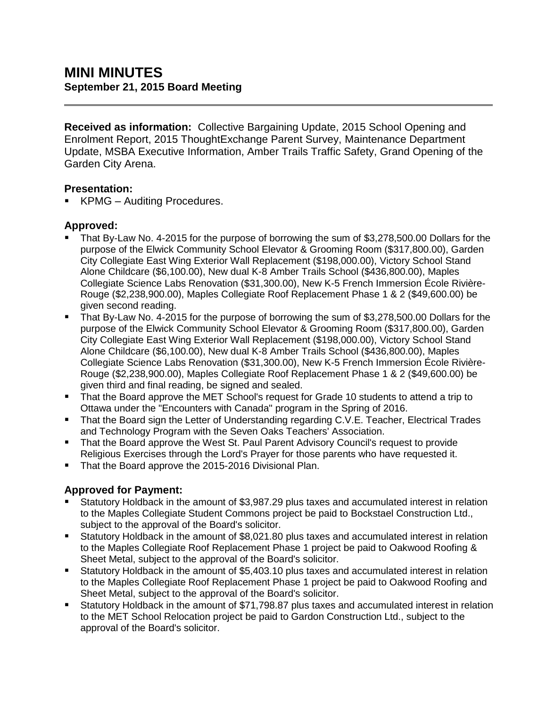**Received as information:** Collective Bargaining Update, 2015 School Opening and Enrolment Report, 2015 ThoughtExchange Parent Survey, Maintenance Department Update, MSBA Executive Information, Amber Trails Traffic Safety, Grand Opening of the Garden City Arena.

## **Presentation:**

KPMG – Auditing Procedures.

## **Approved:**

- That By-Law No. 4-2015 for the purpose of borrowing the sum of \$3,278,500.00 Dollars for the purpose of the Elwick Community School Elevator & Grooming Room (\$317,800.00), Garden City Collegiate East Wing Exterior Wall Replacement (\$198,000.00), Victory School Stand Alone Childcare (\$6,100.00), New dual K-8 Amber Trails School (\$436,800.00), Maples Collegiate Science Labs Renovation (\$31,300.00), New K-5 French Immersion École Rivière-Rouge (\$2,238,900.00), Maples Collegiate Roof Replacement Phase 1 & 2 (\$49,600.00) be given second reading.
- That By-Law No. 4-2015 for the purpose of borrowing the sum of \$3,278,500.00 Dollars for the purpose of the Elwick Community School Elevator & Grooming Room (\$317,800.00), Garden City Collegiate East Wing Exterior Wall Replacement (\$198,000.00), Victory School Stand Alone Childcare (\$6,100.00), New dual K-8 Amber Trails School (\$436,800.00), Maples Collegiate Science Labs Renovation (\$31,300.00), New K-5 French Immersion École Rivière-Rouge (\$2,238,900.00), Maples Collegiate Roof Replacement Phase 1 & 2 (\$49,600.00) be given third and final reading, be signed and sealed.
- That the Board approve the MET School's request for Grade 10 students to attend a trip to Ottawa under the "Encounters with Canada" program in the Spring of 2016.
- That the Board sign the Letter of Understanding regarding C.V.E. Teacher, Electrical Trades and Technology Program with the Seven Oaks Teachers' Association.
- That the Board approve the West St. Paul Parent Advisory Council's request to provide Religious Exercises through the Lord's Prayer for those parents who have requested it.
- That the Board approve the 2015-2016 Divisional Plan.

## **Approved for Payment:**

- Statutory Holdback in the amount of \$3,987.29 plus taxes and accumulated interest in relation to the Maples Collegiate Student Commons project be paid to Bockstael Construction Ltd., subject to the approval of the Board's solicitor.
- Statutory Holdback in the amount of \$8,021.80 plus taxes and accumulated interest in relation to the Maples Collegiate Roof Replacement Phase 1 project be paid to Oakwood Roofing & Sheet Metal, subject to the approval of the Board's solicitor.
- Statutory Holdback in the amount of \$5,403.10 plus taxes and accumulated interest in relation to the Maples Collegiate Roof Replacement Phase 1 project be paid to Oakwood Roofing and Sheet Metal, subject to the approval of the Board's solicitor.
- Statutory Holdback in the amount of \$71,798.87 plus taxes and accumulated interest in relation to the MET School Relocation project be paid to Gardon Construction Ltd., subject to the approval of the Board's solicitor.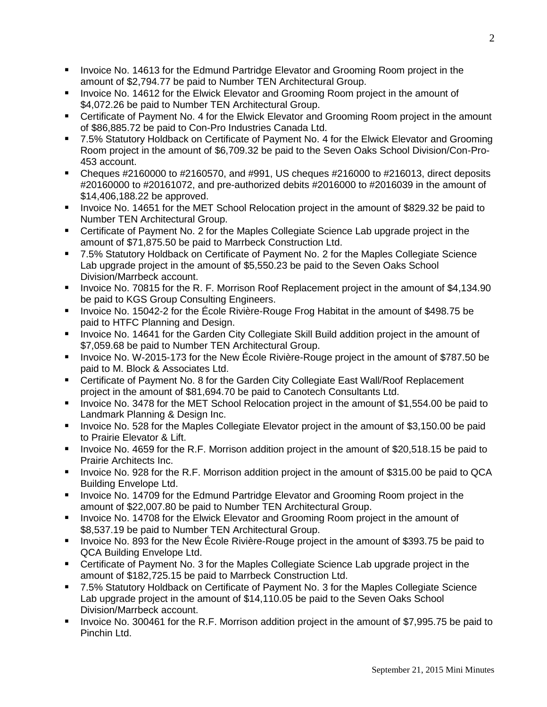- **IDED** Invoice No. 14613 for the Edmund Partridge Elevator and Grooming Room project in the amount of \$2,794.77 be paid to Number TEN Architectural Group.
- **IDED** Invoice No. 14612 for the Elwick Elevator and Grooming Room project in the amount of \$4,072.26 be paid to Number TEN Architectural Group.
- Certificate of Payment No. 4 for the Elwick Elevator and Grooming Room project in the amount of \$86,885.72 be paid to Con-Pro Industries Canada Ltd.
- 7.5% Statutory Holdback on Certificate of Payment No. 4 for the Elwick Elevator and Grooming Room project in the amount of \$6,709.32 be paid to the Seven Oaks School Division/Con-Pro-453 account.
- Cheques  $\#2160000$  to  $\#2160570$ , and  $\#991$ , US cheques  $\#216000$  to  $\#216013$ , direct deposits #20160000 to #20161072, and pre-authorized debits #2016000 to #2016039 in the amount of \$14,406,188.22 be approved.
- Invoice No. 14651 for the MET School Relocation project in the amount of \$829.32 be paid to Number TEN Architectural Group.
- Certificate of Payment No. 2 for the Maples Collegiate Science Lab upgrade project in the amount of \$71,875.50 be paid to Marrbeck Construction Ltd.
- 7.5% Statutory Holdback on Certificate of Payment No. 2 for the Maples Collegiate Science Lab upgrade project in the amount of \$5,550.23 be paid to the Seven Oaks School Division/Marrbeck account.
- Invoice No. 70815 for the R. F. Morrison Roof Replacement project in the amount of \$4,134.90 be paid to KGS Group Consulting Engineers.
- Invoice No. 15042-2 for the École Rivière-Rouge Frog Habitat in the amount of \$498.75 be paid to HTFC Planning and Design.
- **IDED 14641 For the Garden City Collegiate Skill Build addition project in the amount of** \$7,059.68 be paid to Number TEN Architectural Group.
- Invoice No. W-2015-173 for the New École Rivière-Rouge project in the amount of \$787.50 be paid to M. Block & Associates Ltd.
- Certificate of Payment No. 8 for the Garden City Collegiate East Wall/Roof Replacement project in the amount of \$81,694.70 be paid to Canotech Consultants Ltd.
- Invoice No. 3478 for the MET School Relocation project in the amount of \$1,554.00 be paid to Landmark Planning & Design Inc.
- **IDED 10. 528 for the Maples Collegiate Elevator project in the amount of \$3,150.00 be paid** to Prairie Elevator & Lift.
- **IDED** Invoice No. 4659 for the R.F. Morrison addition project in the amount of \$20,518.15 be paid to Prairie Architects Inc.
- **IDE 15 Invoice No. 928 for the R.F. Morrison addition project in the amount of \$315.00 be paid to QCA** Building Envelope Ltd.
- Invoice No. 14709 for the Edmund Partridge Elevator and Grooming Room project in the amount of \$22,007.80 be paid to Number TEN Architectural Group.
- **IDED** Invoice No. 14708 for the Elwick Elevator and Grooming Room project in the amount of \$8,537.19 be paid to Number TEN Architectural Group.
- Invoice No. 893 for the New École Rivière-Rouge project in the amount of \$393.75 be paid to QCA Building Envelope Ltd.
- **EXP** Certificate of Payment No. 3 for the Maples Collegiate Science Lab upgrade project in the amount of \$182,725.15 be paid to Marrbeck Construction Ltd.
- 7.5% Statutory Holdback on Certificate of Payment No. 3 for the Maples Collegiate Science Lab upgrade project in the amount of \$14,110.05 be paid to the Seven Oaks School Division/Marrbeck account.
- Invoice No. 300461 for the R.F. Morrison addition project in the amount of \$7,995.75 be paid to Pinchin Ltd.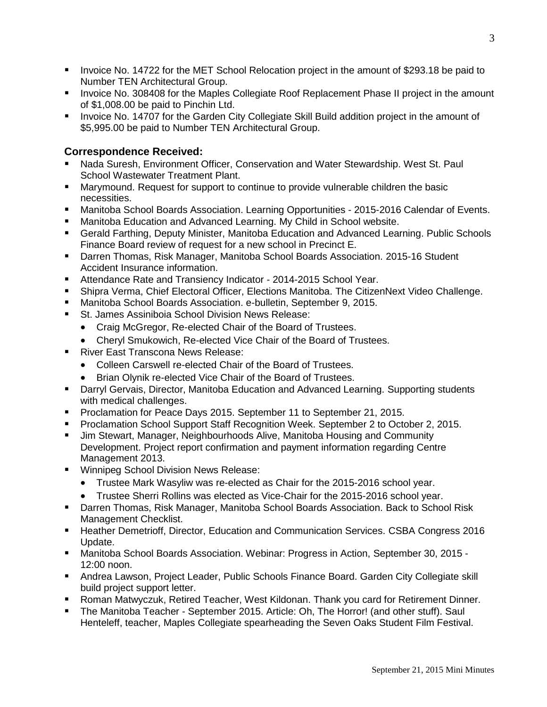- **IDED 1488 Invoice No. 14722 for the MET School Relocation project in the amount of \$293.18 be paid to** Number TEN Architectural Group.
- **IDED FOOT ACTS INTER 10 ACTS AND FOOT THE AND IN THE AMOUT FOOT SHOUTH** Involce No. 308408 for the Amount of \$1,008.00 be paid to Pinchin Ltd.
- **Invoice No. 14707 for the Garden City Collegiate Skill Build addition project in the amount of** \$5,995.00 be paid to Number TEN Architectural Group.

### **Correspondence Received:**

- Nada Suresh, Environment Officer, Conservation and Water Stewardship. West St. Paul School Wastewater Treatment Plant.
- Marymound. Request for support to continue to provide vulnerable children the basic necessities.
- Manitoba School Boards Association. Learning Opportunities 2015-2016 Calendar of Events.
- Manitoba Education and Advanced Learning. My Child in School website.
- Gerald Farthing, Deputy Minister, Manitoba Education and Advanced Learning. Public Schools Finance Board review of request for a new school in Precinct E.
- Darren Thomas, Risk Manager, Manitoba School Boards Association. 2015-16 Student Accident Insurance information.
- **Attendance Rate and Transiency Indicator 2014-2015 School Year.**
- Shipra Verma, Chief Electoral Officer, Elections Manitoba. The CitizenNext Video Challenge.
- Manitoba School Boards Association. e-bulletin, September 9, 2015.
- St. James Assiniboia School Division News Release:
	- Craig McGregor, Re-elected Chair of the Board of Trustees.
	- Cheryl Smukowich, Re-elected Vice Chair of the Board of Trustees.
- River East Transcona News Release:
	- Colleen Carswell re-elected Chair of the Board of Trustees.
	- Brian Olynik re-elected Vice Chair of the Board of Trustees.
- **Darryl Gervais, Director, Manitoba Education and Advanced Learning. Supporting students** with medical challenges.
- **Proclamation for Peace Days 2015. September 11 to September 21, 2015.**
- **Proclamation School Support Staff Recognition Week. September 2 to October 2, 2015.**
- **Jim Stewart, Manager, Neighbourhoods Alive, Manitoba Housing and Community** Development. Project report confirmation and payment information regarding Centre Management 2013.
- **Winnipeg School Division News Release:** 
	- Trustee Mark Wasyliw was re-elected as Chair for the 2015-2016 school year.
	- Trustee Sherri Rollins was elected as Vice-Chair for the 2015-2016 school year.
- Darren Thomas, Risk Manager, Manitoba School Boards Association. Back to School Risk Management Checklist.
- **Heather Demetrioff, Director, Education and Communication Services. CSBA Congress 2016** Update.
- Manitoba School Boards Association. Webinar: Progress in Action, September 30, 2015 12:00 noon.
- Andrea Lawson, Project Leader, Public Schools Finance Board. Garden City Collegiate skill build project support letter.
- Roman Matwyczuk, Retired Teacher, West Kildonan. Thank you card for Retirement Dinner.
- The Manitoba Teacher September 2015. Article: Oh, The Horror! (and other stuff). Saul Henteleff, teacher, Maples Collegiate spearheading the Seven Oaks Student Film Festival.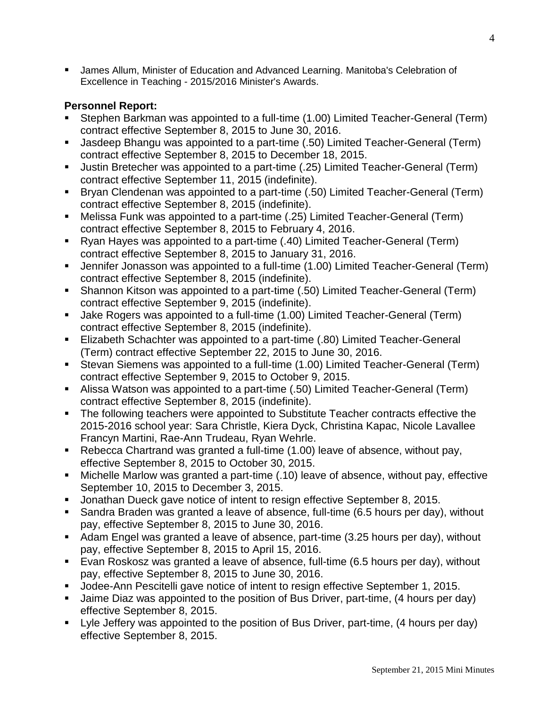James Allum, Minister of Education and Advanced Learning. Manitoba's Celebration of Excellence in Teaching - 2015/2016 Minister's Awards.

# **Personnel Report:**

- Stephen Barkman was appointed to a full-time (1.00) Limited Teacher-General (Term) contract effective September 8, 2015 to June 30, 2016.
- Jasdeep Bhangu was appointed to a part-time (.50) Limited Teacher-General (Term) contract effective September 8, 2015 to December 18, 2015.
- Justin Bretecher was appointed to a part-time (.25) Limited Teacher-General (Term) contract effective September 11, 2015 (indefinite).
- Bryan Clendenan was appointed to a part-time (.50) Limited Teacher-General (Term) contract effective September 8, 2015 (indefinite).
- Melissa Funk was appointed to a part-time (.25) Limited Teacher-General (Term) contract effective September 8, 2015 to February 4, 2016.
- Ryan Hayes was appointed to a part-time (.40) Limited Teacher-General (Term) contract effective September 8, 2015 to January 31, 2016.
- Jennifer Jonasson was appointed to a full-time (1.00) Limited Teacher-General (Term) contract effective September 8, 2015 (indefinite).
- Shannon Kitson was appointed to a part-time (.50) Limited Teacher-General (Term) contract effective September 9, 2015 (indefinite).
- Jake Rogers was appointed to a full-time (1.00) Limited Teacher-General (Term) contract effective September 8, 2015 (indefinite).
- Elizabeth Schachter was appointed to a part-time (.80) Limited Teacher-General (Term) contract effective September 22, 2015 to June 30, 2016.
- Stevan Siemens was appointed to a full-time (1.00) Limited Teacher-General (Term) contract effective September 9, 2015 to October 9, 2015.
- Alissa Watson was appointed to a part-time (.50) Limited Teacher-General (Term) contract effective September 8, 2015 (indefinite).
- **The following teachers were appointed to Substitute Teacher contracts effective the** 2015-2016 school year: Sara Christle, Kiera Dyck, Christina Kapac, Nicole Lavallee Francyn Martini, Rae-Ann Trudeau, Ryan Wehrle.
- Rebecca Chartrand was granted a full-time (1.00) leave of absence, without pay, effective September 8, 2015 to October 30, 2015.
- Michelle Marlow was granted a part-time (.10) leave of absence, without pay, effective September 10, 2015 to December 3, 2015.
- Jonathan Dueck gave notice of intent to resign effective September 8, 2015.
- Sandra Braden was granted a leave of absence, full-time (6.5 hours per day), without pay, effective September 8, 2015 to June 30, 2016.
- Adam Engel was granted a leave of absence, part-time (3.25 hours per day), without pay, effective September 8, 2015 to April 15, 2016.
- Evan Roskosz was granted a leave of absence, full-time (6.5 hours per day), without pay, effective September 8, 2015 to June 30, 2016.
- **Jodee-Ann Pescitelli gave notice of intent to resign effective September 1, 2015.**
- Jaime Diaz was appointed to the position of Bus Driver, part-time, (4 hours per day) effective September 8, 2015.
- Lyle Jeffery was appointed to the position of Bus Driver, part-time, (4 hours per day) effective September 8, 2015.